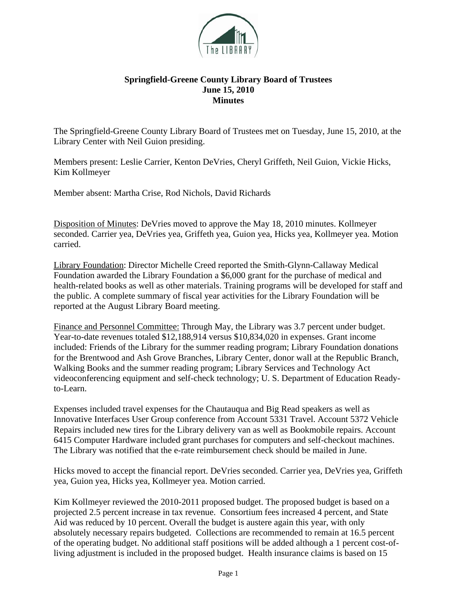

## **Springfield-Greene County Library Board of Trustees June 15, 2010 Minutes**

The Springfield-Greene County Library Board of Trustees met on Tuesday, June 15, 2010, at the Library Center with Neil Guion presiding.

Members present: Leslie Carrier, Kenton DeVries, Cheryl Griffeth, Neil Guion, Vickie Hicks, Kim Kollmeyer

Member absent: Martha Crise, Rod Nichols, David Richards

Disposition of Minutes: DeVries moved to approve the May 18, 2010 minutes. Kollmeyer seconded. Carrier yea, DeVries yea, Griffeth yea, Guion yea, Hicks yea, Kollmeyer yea. Motion carried.

Library Foundation: Director Michelle Creed reported the Smith-Glynn-Callaway Medical Foundation awarded the Library Foundation a \$6,000 grant for the purchase of medical and health-related books as well as other materials. Training programs will be developed for staff and the public. A complete summary of fiscal year activities for the Library Foundation will be reported at the August Library Board meeting.

Finance and Personnel Committee: Through May, the Library was 3.7 percent under budget. Year-to-date revenues totaled \$12,188,914 versus \$10,834,020 in expenses. Grant income included: Friends of the Library for the summer reading program; Library Foundation donations for the Brentwood and Ash Grove Branches, Library Center, donor wall at the Republic Branch, Walking Books and the summer reading program; Library Services and Technology Act videoconferencing equipment and self-check technology; U. S. Department of Education Readyto-Learn.

Expenses included travel expenses for the Chautauqua and Big Read speakers as well as Innovative Interfaces User Group conference from Account 5331 Travel. Account 5372 Vehicle Repairs included new tires for the Library delivery van as well as Bookmobile repairs. Account 6415 Computer Hardware included grant purchases for computers and self-checkout machines. The Library was notified that the e-rate reimbursement check should be mailed in June.

Hicks moved to accept the financial report. DeVries seconded. Carrier yea, DeVries yea, Griffeth yea, Guion yea, Hicks yea, Kollmeyer yea. Motion carried.

Kim Kollmeyer reviewed the 2010-2011 proposed budget. The proposed budget is based on a projected 2.5 percent increase in tax revenue. Consortium fees increased 4 percent, and State Aid was reduced by 10 percent. Overall the budget is austere again this year, with only absolutely necessary repairs budgeted. Collections are recommended to remain at 16.5 percent of the operating budget. No additional staff positions will be added although a 1 percent cost-ofliving adjustment is included in the proposed budget. Health insurance claims is based on 15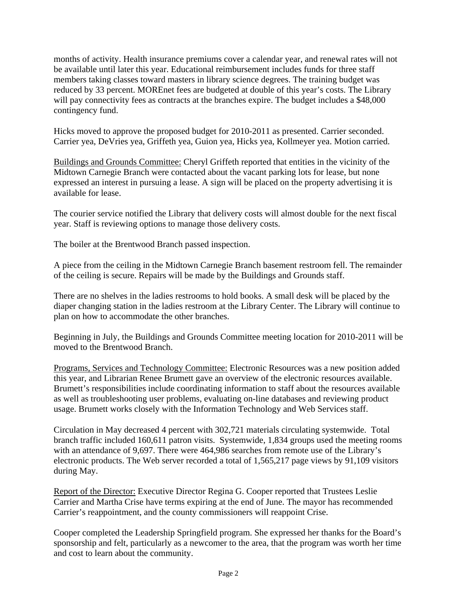months of activity. Health insurance premiums cover a calendar year, and renewal rates will not be available until later this year. Educational reimbursement includes funds for three staff members taking classes toward masters in library science degrees. The training budget was reduced by 33 percent. MOREnet fees are budgeted at double of this year's costs. The Library will pay connectivity fees as contracts at the branches expire. The budget includes a \$48,000 contingency fund.

Hicks moved to approve the proposed budget for 2010-2011 as presented. Carrier seconded. Carrier yea, DeVries yea, Griffeth yea, Guion yea, Hicks yea, Kollmeyer yea. Motion carried.

Buildings and Grounds Committee: Cheryl Griffeth reported that entities in the vicinity of the Midtown Carnegie Branch were contacted about the vacant parking lots for lease, but none expressed an interest in pursuing a lease. A sign will be placed on the property advertising it is available for lease.

The courier service notified the Library that delivery costs will almost double for the next fiscal year. Staff is reviewing options to manage those delivery costs.

The boiler at the Brentwood Branch passed inspection.

A piece from the ceiling in the Midtown Carnegie Branch basement restroom fell. The remainder of the ceiling is secure. Repairs will be made by the Buildings and Grounds staff.

There are no shelves in the ladies restrooms to hold books. A small desk will be placed by the diaper changing station in the ladies restroom at the Library Center. The Library will continue to plan on how to accommodate the other branches.

Beginning in July, the Buildings and Grounds Committee meeting location for 2010-2011 will be moved to the Brentwood Branch.

Programs, Services and Technology Committee: Electronic Resources was a new position added this year, and Librarian Renee Brumett gave an overview of the electronic resources available. Brumett's responsibilities include coordinating information to staff about the resources available as well as troubleshooting user problems, evaluating on-line databases and reviewing product usage. Brumett works closely with the Information Technology and Web Services staff.

Circulation in May decreased 4 percent with 302,721 materials circulating systemwide. Total branch traffic included 160,611 patron visits. Systemwide, 1,834 groups used the meeting rooms with an attendance of 9,697. There were 464,986 searches from remote use of the Library's electronic products. The Web server recorded a total of 1,565,217 page views by 91,109 visitors during May.

Report of the Director: Executive Director Regina G. Cooper reported that Trustees Leslie Carrier and Martha Crise have terms expiring at the end of June. The mayor has recommended Carrier's reappointment, and the county commissioners will reappoint Crise.

Cooper completed the Leadership Springfield program. She expressed her thanks for the Board's sponsorship and felt, particularly as a newcomer to the area, that the program was worth her time and cost to learn about the community.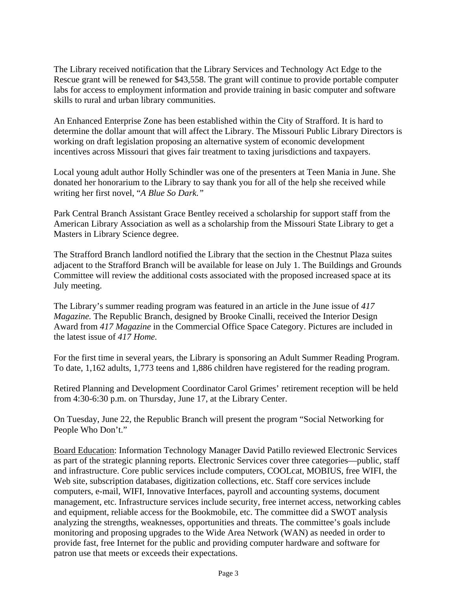The Library received notification that the Library Services and Technology Act Edge to the Rescue grant will be renewed for \$43,558. The grant will continue to provide portable computer labs for access to employment information and provide training in basic computer and software skills to rural and urban library communities.

An Enhanced Enterprise Zone has been established within the City of Strafford. It is hard to determine the dollar amount that will affect the Library. The Missouri Public Library Directors is working on draft legislation proposing an alternative system of economic development incentives across Missouri that gives fair treatment to taxing jurisdictions and taxpayers.

Local young adult author Holly Schindler was one of the presenters at Teen Mania in June. She donated her honorarium to the Library to say thank you for all of the help she received while writing her first novel, "*A Blue So Dark."*

Park Central Branch Assistant Grace Bentley received a scholarship for support staff from the American Library Association as well as a scholarship from the Missouri State Library to get a Masters in Library Science degree.

The Strafford Branch landlord notified the Library that the section in the Chestnut Plaza suites adjacent to the Strafford Branch will be available for lease on July 1. The Buildings and Grounds Committee will review the additional costs associated with the proposed increased space at its July meeting.

The Library's summer reading program was featured in an article in the June issue of *417 Magazine.* The Republic Branch, designed by Brooke Cinalli, received the Interior Design Award from *417 Magazine* in the Commercial Office Space Category. Pictures are included in the latest issue of *417 Home.*

For the first time in several years, the Library is sponsoring an Adult Summer Reading Program. To date, 1,162 adults, 1,773 teens and 1,886 children have registered for the reading program.

Retired Planning and Development Coordinator Carol Grimes' retirement reception will be held from 4:30-6:30 p.m. on Thursday, June 17, at the Library Center.

On Tuesday, June 22, the Republic Branch will present the program "Social Networking for People Who Don't."

Board Education: Information Technology Manager David Patillo reviewed Electronic Services as part of the strategic planning reports. Electronic Services cover three categories—public, staff and infrastructure. Core public services include computers, COOLcat, MOBIUS, free WIFI, the Web site, subscription databases, digitization collections, etc. Staff core services include computers, e-mail, WIFI, Innovative Interfaces, payroll and accounting systems, document management, etc. Infrastructure services include security, free internet access, networking cables and equipment, reliable access for the Bookmobile, etc. The committee did a SWOT analysis analyzing the strengths, weaknesses, opportunities and threats. The committee's goals include monitoring and proposing upgrades to the Wide Area Network (WAN) as needed in order to provide fast, free Internet for the public and providing computer hardware and software for patron use that meets or exceeds their expectations.